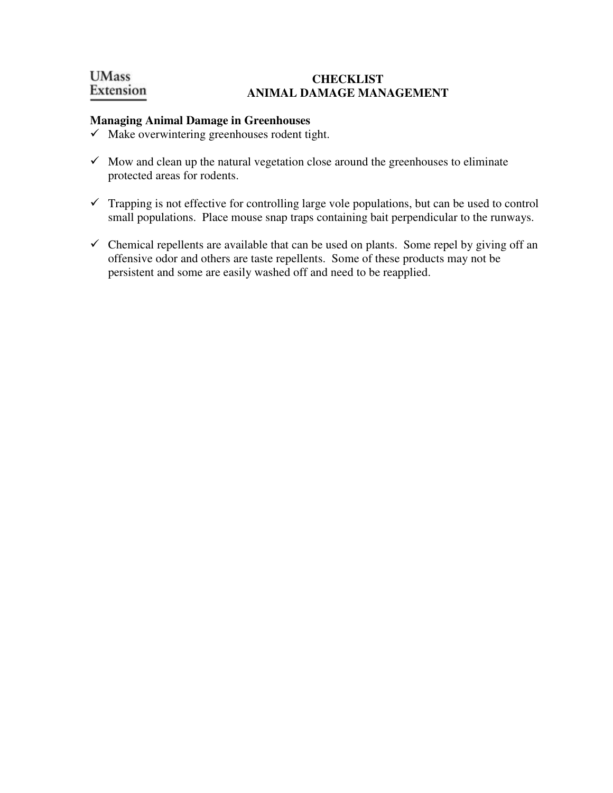## **UMass CHECKLIST**  Extension **ANIMAL DAMAGE MANAGEMENT**

## **Managing Animal Damage in Greenhouses**

- $\checkmark$  Make overwintering greenhouses rodent tight.
- $\checkmark$  Mow and clean up the natural vegetation close around the greenhouses to eliminate protected areas for rodents.
- $\checkmark$  Trapping is not effective for controlling large vole populations, but can be used to control small populations. Place mouse snap traps containing bait perpendicular to the runways.
- $\checkmark$  Chemical repellents are available that can be used on plants. Some repel by giving off an offensive odor and others are taste repellents. Some of these products may not be persistent and some are easily washed off and need to be reapplied.